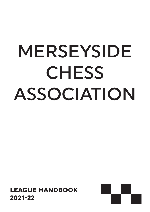# MERSEYSIDE **CHESS** ASSOCIATION

LEAGUE HANDBOOK 2021-22

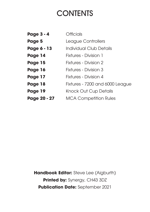### **CONTENTS**

| <b>Page 3 - 4</b> | <b>Officials</b>                |
|-------------------|---------------------------------|
| Page 5            | League Controllers              |
| Page 6 - 13       | Individual Club Details         |
| Page 14           | <b>Fixtures - Division 1</b>    |
| Page 15           | <b>Fixtures - Division 2</b>    |
| Page 16           | Fixtures - Division 3           |
| Page 17           | <b>Fixtures - Division 4</b>    |
| Page 18           | Fixtures - 7200 and 6000 League |
| Page 19           | <b>Knock Out Cup Details</b>    |
| Page 20 - 27      | <b>MCA Competition Rules</b>    |

**Handbook Editor:** Steve Lee (Aigburth) **Printed by: Synergy, CH43 3DZ Publication Date:** September 2021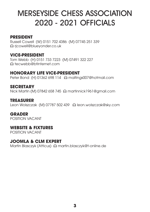### MERSEYSIDE CHESS ASSOCIATION 2020 - 2021 OFFICIALS

#### **PRESIDENT**

Russell Cowell (W) 0151 702 4386 (M) 07745 251 339 E rjcowell@blueyonder.co.uk

#### **VICE-PRESIDENT**

Tom Webb (H) 0151 733 7223 (M) 07491 322 227 E tecwebb@btinternet.com

#### **HONORARY LIFE VICE-PRESIDENT**

Peter Bond (H) 01362 698 114 A maltings007@hotmail.com

#### **SECRETARY**

Nick Martin (M) 07842 658 745 a martinnick1961@gmail.com

#### **TREASURER**

Leon Wolszczak (M) 07787 502 439 A leon.wolszczak@sky.com

#### **GRADER**

POSITION VACANT

#### **WEBSITE & FIXTURES**

POSITION VACANT

#### **JOOMLA & CLM EXPERT**

Martin Blasczyk (Atticus) & martin.blasczyk@t-online.de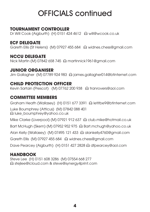# OFFICIALS continued

#### **TOURNAMENT CONTROLLER**

Dr Will Cook (Aigburth) (H) 0151 424 4612 A will@wcook.co.uk

#### **ECF DELEGATE**

Gareth Ellis (St Helens) (M) 07927 455 684 a widnes.chess@gmail.com

#### **NCCU DELEGATE**

Nick Martin (M) 07842 658 745 a martinnick1961@gmail.com

#### **JUNIOR ORGANISER**

Jim Gallagher (M) 07789 924 983 @ james.gallagher014@btinternet.com

#### **CHILD PROTECTION OFFICER**

Kevin Sartain (Prescot) (M) 07762 200 938 @ tranrovers@aol.com

#### **COMMITTEE MEMBERS**

Graham Heath (Wallasey) (H) 0151 677 3391 @ letitbe9@btinternet.com Luke Boumphrey (Atticus) (M) 07842 088 401 E luke\_boumphrey@yahoo.co.uk

Mike Clarke (Liverpool) (M) 07921 912 637 E club.mike@hotmail.co.uk

Bart McHugh (Skem) (M) 07952 952 975 & Bart.mchugh@yahoo.co.uk

Alan Kelly (Wallasey) (M) 07495 121 433 @ alankelly4760@gmail.com

Gareth Ellis (M) 07927 455 684 a widnes.chess@gmail.com

Dave Pearcey (Aigburth) (H) 0151 427 2828 a dfpearcey@aol.com

#### **HANDBOOK**

Steve Lee (H) 0151 608 3286 (M) 07554 668 277 E stejlee@icloud.com & steve@synergy4print.com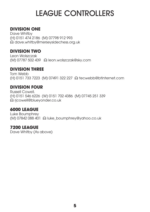# LEAGUE CONTROLLERS

#### **DIVISION ONE**

Dave Whitby (H) 0151 474 2186 (M) 07798 912 993 E dave.whitby@merseysidechess.org.uk

#### **DIVISION TWO**

Leon Wolszczak (M) 07787 502 439 E leon.wolszczak@sky.com

#### **DIVISION THREE**

Tom Webb (H) 0151 733 7223 (M) 07491 322 227 △ tecwebb@btinternet.com

#### **DIVISION FOUR**

Russell Cowell. (H) 0151 546 6226 (W) 0151 702 4386 (M) 07745 251 339 E rjcowell@blueyonder.co.uk

#### **6000 LEAGUE**

Luke Boumphrey (M) 07842 088 401 a luke\_boumphrey@yahoo.co.uk

#### **7200 LEAGUE**

Dave Whitby (As above)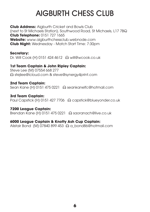## AIGBURTH CHESS CLUB

**Club Address:** Aigburth Cricket and Bowls Club (next to St Michaels Station), Southwood Road, St Michaels, L17 7BQ **Club Telephone:** 0151 727 1665 **Website:** www.aigburthchessclub.webnode.com **Club Night:** Wednesday - Match Start Time: 7:30pm

#### **Secretary:**

Dr. Will Cook (H) 0151 424 4612 & will@wcook.co.uk

#### **1st Team Captain & John Ripley Captain:**

Steve Lee (M) 07554 668 277 E stejlee@icloud.com & steve@synergy4print.com

#### **2nd Team Captain:**

Sean Kane (H) 0151 475 0221 a seankanelfc@hotmail.com

#### **3rd Team Captain:**

Paul Capstick (H) 0151 427 7706 a capstick@blueyonder.co.uk

#### **7200 League Captain:**

Brendan Kane (H) 0151 475 0221 a saoranach@live.co.uk

#### **6000 League Captain & Knotty Ash Cup Captain:**

Alistair Bond (M) 07840 899 453  $\,\odot$  a\_bond86@hotmail.com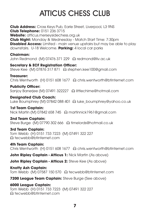# ATTICUS CHESS CLUB

**Club Address:** Cross Keys Pub, Earle Street, Liverpool, L3 9NS **Club Telephone:** 0151 236 3715 **Website:** atticus.merseysidechess.org.uk **Club Night:** Monday & Wednesday - Match Start Time: 7:30pm **Disabled Access:** Limited - main venue upstairs but may be able to play downstairs. U-18 Welcome. **Parking:** 4 local car parks

**Chairman:**

John Redmond (M) 07476 371 229 & redmond@liv.ac.uk

**Secretary & ECF Registration Officer:**  Steve Kee (M) 07876 317 871 A stephen.kee100@gmail.com

**Treasurer:** 

Chris Wentworth (H) 0151 608 1677 E chris.wentworth@btinternet.com

#### **Publicity Officer:**

Sanjoy Banerjee (M) 07491 322227 A littlechime@hotmail.com

#### **Designated Club Coach:**

Luke Boumphrey (M) 07842 088 401 @ luke\_boumphrey@yahoo.co.uk

#### **1st Team Captain:**

Nick Martin (M) 07842 658 745 a martinnick1961@gmail.com

#### **2nd Team Captain:**

Steve Burge (M) 07790 302 666 & timelords@hotmail.co.uk

#### **3rd Team Captain:**

Tom Webb (H) 0151 733 7223 (M) 07491 322 227 E tecwebb@btinternet.com

#### **4th Team Captain:**

Chris Wentworth (H) 0151 608 1677 a chris.wentworth@btinternet.com

**John Ripley Captain - Atticus 1: Nick Martin (As above)** 

**John Ripley Captain - Atticus 2:** Steve Kee (As above)

**Knotty Ash Captain:**  Tom Webb (M) 07587 150 570 & tecwebb@btinternet.com

**7200 League Team Captain:** Steve Burge (See above)

#### **6000 League Captain:**

Tom Webb (H) 0151 733 7223 (M) 07491 322 227 E tecwebb@btinternet.com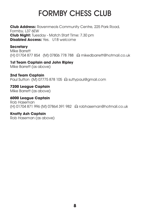# FORMBY CHESS CLUB

**Club Address:** Ravenmeols Community Centre, 225 Park Road, Formby, L37 6EW **Club Night:** Tuesday - Match Start Time: 7.30 pm **Disabled Access:** Yes. U18 welcome

#### **Secretary**

Mike Barrett (H) 01704 877 854 (M) 07806 778 788 E mikedbarrett@hotmail.co.uk

#### **1st Team Captain and John Ripley** Mike Barrett (as above)

**2nd Team Captain**  Paul Sutton (M) 07775 878 105 a suttypaul@amail.com

#### **7200 League Captain**

Mike Barrett (as above)

**6000 League Captain**  Rob Haseman (H) 01704 871 996 (M) 07864 391 982 E robhaseman@hotmail.co.uk

#### **Knotty Ash Captain**

Rob Haseman (as above)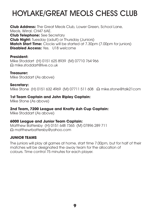# **HOYLAKE/GREAT MEOLS CHESS CLUB**

**Club Address:** The Great Meols Club, Lower Green, School Lane, Meols, Wirral. CH47 6AE. **Club Telephone:** See Secretary **Club Night:** Tuesday (adult) or Thursday (Juniors) **Match Start Time:** Clocks will be started at 7.30pm (7.00pm for juniors) **Disabled Access: Yes. U18 welcome** 

#### **President:**

Mike Stoddart (H) 0151 625 8939 (M) 07710 764 966 E mike.stoddart@live.co.uk

**Treasurer:** 

Mike Stoddart (As above)

**Secretary:** Mike Stone (H) 0151 632 4969 (M) 07711 511 608 @ mike.stone@talk21com

#### **1st Team Captain and John Ripley Captain:**

Mike Stone (As above)

#### **2nd Team, 7200 League and Knotty Ash Cup Captain:**

Mike Stoddart (As above)

#### **6000 League and Junior Team Captain:**

Matthew Battersby (H) 0151 648 7365 (M) 07896 289 711 E matthewrbattersby@yahoo.com

#### **JUNIOR TEAMS**

The juniors will play all games at home, start time 7.00pm, but for half of their matches will be designated the away team for the allocation of colours. Time control 75 minutes for each player.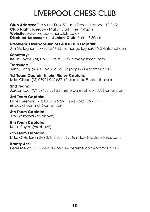# LIVERPOOL CHESS CLUB

**Club Address:** The Vines Pub, 81 Lime Street, Liverpool, L1 1JQ **Club Night:** Tuesday - Match Start Time: 7:45pm **Website:** www.liverpoolchessclub.co.uk **Disabled Access: Yes. Juniors Club: 6pm - 7.30pm** 

**President, Liverpool Juniors & KA Cup Captain:**  Jim Gallagher - 07789 924 983 - james.gallagher014@btinternet.com

**Secretary:**  Kevin Bovce (M) 07411 135 811 @ boycey@mac.com

**Treasurer:**  Jenny Long (M) 07769 319 191 E jlong1991@hotmail.co.uk

**1st Team Captain & john Ripley Captain:** Mike Clarke (M) 07921 912 637 a club.mike@hotmail.co.uk

**2nd Team:**  Jordan Lee (M) 07495 531 237 a jordanscottlee.1998@gmail.com

**3rd Team Captain:**  David Leeming (H) 0151 342 2911 (M) 07921 765 144 E david.leeming1@gmail.com

**4th Team Captain:**  Jim Gallagher (As above)

**5th Team Captain:**  Kevin Boyce (As above)

**6th Team Captain:**  Mike O'Halloran (M) 07813 973 519 & mikeo@taylorestates.com

**Knotty Ash:**  Peter Mellor (M) 07704 708 997 & petemellor94@hotmail.co.uk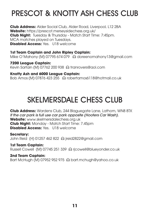# PRESCOT & KNOTTY ASH CHESS CLUB

**Club Address:** Alder Social Club, Alder Road, Liverpool, L12 2BA **Website:** https://prescot.merseysidechess.org.uk/ **Club Night:** Tuesday & Thursday - Match Start Time: 7:45pm. MCA matches played on Tuesdays. **Disabled Access:** Yes. U18 welcome

**1st Team Captain and John Ripley Captain:**  Mike O'Mahony (M) 07795 674 079 @ doreenomahony13@gmail.com

**7200 League Captain:**  Kevin Sartain (M) 07762 200 938 & tranrovers@aol.com

**Knotty Ash and 6000 League Captain:**  Bob Amos (M) 07876 423 255 @ robertamosó118@hotmail.co.uk

### SKELMERSDALE CHESS CLUB

**Club Address:** Wardens Club, 244 Blaguegate Lane, Lathom, WN8 8TX *If the car park is full use car park opposite (Hooters Car Wash).* **Website:** www.skelmersdalechess.org.uk **Club Night:** Monday - Match Start Time: 7.45pm **Disabled Access:** Yes. U18 welcome

**Secretary:**  John Reid (H) 01257 462 822 E jreid2822@gmail.com

**1st Team Captain:** Russell Cowell (M) 07745 251 339 & rjcowell@blueyonder.co.uk

**2nd Team Captain:** Bart McHugh (M) 07952 952 975 @ bart.mchugh@yahoo.co.uk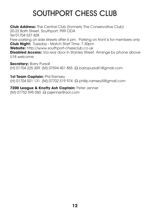# SOUTHPORT CHESS CLUB

**Club Address:** The Central Club (formerly The Conservative Club) 20-22 Bath Street, Southport, PR9 ODA Tel 01704 537 428 Free parking on side streets after 6 pm. Parking on front is for members only **Club Night:** Tuesday - Match Start Time: 7.30pm **Website:** http://www.southport-chessclub.co.uk **Disabled Access:** Via rear door in Stanley Street. Arrange by phone above U18 welcome

**Secretary: Barry Pursall** (H) 01704 225 309 (M) 07594 451 855 E barrypursall1@gmail.com

1st Team **Captain:** Phil Ramsey (H) 01704 501 131 (M) 07702 519 974 E philip.ramsey5@gmail.com

**7200 League & Knotty Ash Captain:** Peter Jenner (M) 07752 595 060 E psjenner@aol.com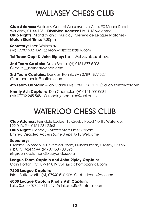## WALLASEY CHESS CLUB

**Club Address:** Wallasey Central Conservative Club, 90 Manor Road, Wallasey, CH44 1BZ **Disabled Access:** No. U18 welcome **Club Nights:** Monday and Thursday (Merseyside League Matches) **Match Start Time:** 7:30pm

**Secretary:** Leon Wolszczak  $(M)$  07787 502 439  $\,\Omega$  leon.wolszczak@sky.com

1st Team Capt & John Ripley: Leon Wolszczak as above

**2nd Team Captain:** Dave Barnes (H) 0151 677 5208 E dave\_j\_barnes@yahoo.com

3rd Team Captains: Duncan Rennie (M) 07891 877 327 E amandrennie@outlook.com

4th Team Captain: Allan Clarke (M) 07891 731 414 a allan.tc@talktalk.net

**Knotty Ash Captain:** Ron Champion (H) 0151 200 0681 (M) 07702 245 548 E ronaldjchampion@aol.co.uk

# WATERLOO CHESS CLUB

**Club Address:** Ferndale Lodge, 15 Crosby Road North, Waterloo, L22 0LD. Tel: 0151 281 2463 **Club Night:** Monday - Match Start Time: 7:45pm Limited Disabled Access (One Step) U-18 Welcome

#### **Secretary:**

Graeme Solomon, 40 Riverslea Road, Blundellsands, Crosby, L23 6SZ. (H) 0151 924 5599 (M) 07450 700 396 E graemesolomon@blueyonder.co.uk

**League Team Captain and John Ripley Captain:**  Colin Horton (M) 07914 019 554 E colhorto@gmail.com

**7200 League Captain:**  Brian Butterworth (M) 07940 510 906 & bbuttyone@aol.com

**6000 League Captain Knotty Ash Captain:**  Luke Scaife 07825 811 259 E lukescaife@hotmail.com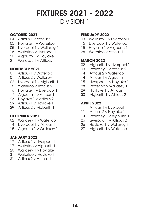#### **OCTOBER 2021**

- 04 Atticus 1 v Atticus 2
- 05 Hoylake 1 v Waterloo
- 05 Liverpool 1 v Wallasey 1
- 18 Waterloo v Liverpool 1
- 20 Aigburth 1 v Hoylake 1
- 21 Wallasey 1 v Atticus 1

#### **NOVEMBER 2021**

- 01 Atticus 1 v Waterloo
- 01 Atticus 2 v Wallasey 1
- 02 Liverpool 1 v Aigburth 1
- 15 Waterloo v Atticus 2
- 16 Hoylake 1 v Liverpool 1
- 17 Aigburth 1 v Atticus 1
- 23 Hoylake 1 v Atticus 2
- 29 Atticus 1 v Hoylake 1
- 29 Atticus 2 v Aigburth 1

#### **DECEMBER 2021**

- 02 Wallasey 1 v Waterloo
- 14 Liverpool 1 v Atticus 1
- 15 Aigburth 1 v Wallasev 1

#### **JANUARY 2022**

- 17 Atticus 2 v Liverpool 1
- 17 Waterloo v Aiaburth 1
- 20 Wallasey 1 v Hoylake 1
- 31 Waterloo v Hoylake 1
- 31 Atticus 2 v Atticus 1

#### **FEBRUARY 2022**

- 03 Wallasey 1 v Liverpool 1
- 15 Liverpool 1 v Waterloo
- 15 Hoylake 1 v Aiaburth 1
- 28 Waterloo v Atticus 1

#### **MARCH 2022**

- 02 Aigburth 1 v Liverpool 1
- 03 Wallasey 1 v Atticus 2
- 14 Atticus 2 v Waterloo
- 14 Atticus 1 v Aigburth 1
- 15 Liverpool 1 v Hoylake 1
- 28 Waterloo v Wallasey 1
- 29 Hoylake 1 v Atticus 1
- 30 Aigburth 1 v Atticus 2

- 11 Atticus 1 v Liverpool 1
- 11 Atticus 2 v Hoylake 1
- 14 Wallasey 1 v Aigburth 1<br>26 I iverpool 1 v Atticus 2
- 26 Liverpool 1 v Atticus 2<br>26 Hovlake 1 v Wallasev
- 26 Hoylake 1 v Wallasey 1<br>27 Aiaburth 1 v Waterloo
- Aigburth 1 v Waterloo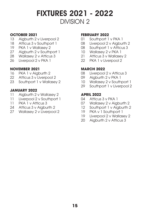#### **OCTOBER 2021**

- 13 Aigburth 2 v Liverpool 2
- 18 Atticus 3 y Southport 1
- 19 PKA 1 v Wallasey 2
- 27 Aigburth 2 v Southport 1
- 28 Wallasey 2 v Atticus 3
- 26 Liverpool 2 v PKA 1

#### **NOVEMBER 2021**

- 16 PKA 1 v Aigburth 2
- 22 Atticus 3 v Liverpool 2
- 23 Southport 1 v Wallasev 2

#### **JANUARY 2022**

- 11 Aigburth 2 v Wallasey 2
- 11 Liverpool 2 v Southport 1
- 11 PKA 1 v Atticus 3
- 24 Atticus 3 v Aigburth 2
- 27 Wallasey 2 v Liverpool 2

#### **FEBRUARY 2022**

- 01 Southport 1 v PKA 1
- 08 Liverpool 2 v Aigburth 2
- 08 Southport 1 v Atticus 3
- 10 Wallasey 2 v PKA 1
- 21 Atticus 3 v Wallasey 2
- 22 PKA 1 v Liverpool 2

#### **MARCH 2022**

- 08 Liverpool 2 v Atticus 3
- 09 Aigburth 2 v PKA 1
- 10 Wallasey 2 v Southport 1
- 29 Southport 1 v Liverpool 2

- 04 Atticus 3 v PKA 1
- 07 Wallasey 2 v Aigburth 2
- 12 Southport 1 v Aigburth 2
- 19 PKA v 1 Southport 1
- 19 Liverpool 2 v Wallasey 2<br>20 Aiaburth 2 v Atticus 3
- Aigburth 2 v Atticus 3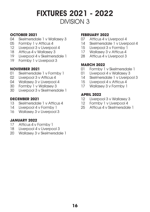#### **OCTOBER 2021**

- 04 Skelmersdale 1 v Wallasev 3
- 05 Formby 1 v Atticus 4
- 12 Liverpool 3 v Liverpool 4
- 18 Atticus 4 v Wallasey 3
- 19 Liverpool 4 v Skelmersdale 1
- 19 Formby 1 v Liverpool 3

#### **NOVEMBER 2021**

- 01 Skelmersdale 1 v Formby 1
- 02 Liverpool 3 v Atticus 4
- 04 Wallasey 3 v Liverpool 4
- 30 Formby 1 v Wallasey 3
- 30 Liverpool 3 v Skelmersdale 1

#### **DECEMBER 2021**

- 13 Skelmersdale 1 v Atticus 4
- 14 Liverpool 4 v Formby 1
- 16 Wallasey 3 v Liverpool 3

#### **JANUARY 2022**

- 17 Atticus 4 v Formby 1
- 18 Liverpool 4 v Liverpool 3
- 20 Wallasey 3 v Skelmersdale 1

#### **FEBRUARY 2022**

- 07 Atticus 4 v Liverpool 4
- 14 Skelmersdale 1 v Liverpool 4
- 15 Liverpool 3 v Formby 1
- 17 Wallasey 3 y Atticus 4
- 28 Atticus 4 v Liverpool 3

#### **MARCH 2022**

- 01 Formby 1 v Skelmersdale 1
- 01 Liverpool 4 v Wallasey 3
- 14 Skelmersdale 1 v Liverpool 3
- 15 Liverpool 4 v Atticus 4
- 17 Wallasey 3 v Formby 1

- 12 Liverpool 3 v Wallasey 3
- 12 Formby 1 v Liverpool 4
- 25 Atticus 4 v Skelmersdale 1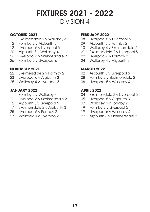#### **OCTOBER 2021**

- 11 Skelmersdale 2 v Wallasev 4
- 12 Formby 2 v Aigburth 3
- 12 Liverpool 6 v Liverpool 5
- 20 Aigburth 3 v Wallasey 4
- 26 Liverpool 5 v Skelmersdale 2
- 26 Formby 2 v Liverpool 6

#### **NOVEMBER 2021**

- 22 Skelmersdale 2 v Formby 2
- 23 Liverpool 6 v Aigburth 3
- 25 Wallasey 4 v Liverpool 5

#### **JANUARY 2022**

- 11 Formby 2 v Wallasey 4
- 11 Liverpool 6 v Skelmersdale 2<br>12 Aiaburth 3 v Liverpool 5
- Aigburth 3 v Liverpool 5
- 17 Skelmersdale 2 v Aigburth 3<br>25 Liverpool 5 v Formby 2
- Liverpool 5 v Formby 2
- 27 Wallasey 4 v Liverpool 6

#### **FEBRUARY 2022**

- 08 Liverpool 5 v Liverpool 6
- 09 Aigburth 3 v Formby 2
- 10 Wallasey 4 v Skelmersdale 2
- 21 Skelmersdale 2 v Liverpool 5
- 22 Liverpool 6 v Formby 2
- 24 Wallasey 4 y Aiaburth 3

#### **MARCH 2022**

- 02 Aigburth 3 v Liverpool 6
- 08 Formby 2 v Skelmersdale 2
- 08 Liverpool 5 v Wallasey 4

- 04 Skelmersdale 2 v Liverpool 6
- 05 Liverpool 5 v Aigburth 3
- 07 Wallasey 4 v Formby 2
- 19 Formby 2 v Liverpool 5
- 19 Liverpool 6 v Wallasey 4
- 27 Aigburth 3 v Skelmersdale 2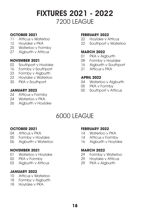### FIXTURES 2021 - 2022 7200 LEAGUE

#### **OCTOBER 2021**

- 11 Atticus v Waterloo
- 12 Hoylake v PKA
- 25 Waterloo v Formby
- 27 Aigburth v Atticus

#### **NOVEMBER 2021**

- 02 Southport v Hoylake
- 16 Formby v Southport
- 23 Formby v Aigburth
- 23 Hoylake v Waterloo
- 30 PKA v Southport

#### **JANUARY 2022**

- 24 Atticus v Formby
- 24 Waterloo v PKA
- 26 Aigburth v Hoylake

#### **FEBRUARY 2022**

- 22 Hoylake v Atticus
- 22 Southport v Waterloo

#### **MARCH 2022**

- 01 PKA v Aigburth
- 08 Formby v Hoylake
- 16 Aigburth v Southport
- 21 Atticus v PKA

#### **APRIL 2022**

- 04 Waterloo v Aiaburth
- 05 PKA v Formby
- 05 Southport v Atticus

### 6000 LEAGUE

#### **OCTOBER 2021**

- 04 Atticus v PKA
- 05 Formby v Hoylake
- 06 Aigburth v Waterloo

#### **NOVEMBER 2021**

- 01 Waterloo v Hoylake
- 02 PKA v Formby
- 03 Aigburth v Atticus

#### **JANUARY 2022**

- 10 Atticus v Waterloo
- 18 Formby v Aigburth
- 18 Hoylake v PKA

#### **FEBRUARY 2022**

- 14 Waterloo v PKA
- 14 Atticus v Formby
- 16 Aigburth v Hoylake

#### **MARCH 2022**

- 29 Formby v Waterloo
- 29 Hoylake v Atticus
- 29 PKA v Aigburth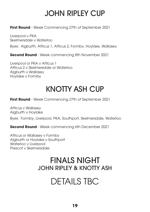# JOHN RIPLEY CUP

**First Round** - Week Commencing 27th of September 2021

Liverpool v PKA Skelmersdale v Waterloo Byes: Aigburth, Atticus 1, Atticus 2, Formby, Hoylake, Wallasey

**Second Round** - Week commencing 8th November 2021

Liverpool or PKA v Atticus 1 Atticus 2 v Skelmersdale or Waterloo Aigburth v Wallasey Hoylake v Formby

### KNOTTY ASH CUP

**First Round** - Week Commencing 27th of September 2021

Atticus v Wallasey Aigburth v Hoylake

Byes: Formby, Liverpool, PKA, Southport, Skelmersdale, Waterloo

**Second Round** - Week commencing 6th December 2021

Atticus or Wallasey v Formby Aigburth or Hoylake v Southport Waterloo v Liverpool Prescot v Skelmersdale

### FINALS NIGHT JOHN RIPLEY & KNOTTY ASH

# DETAILS TBC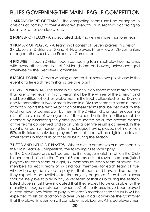### RULES GOVERNING THE MAIN LEAGUE COMPETITION

1 ARRANGEMENT OF TEAMS - The competing teams shall be arranged in divisions according to their estimated strength, or in sections according to locality or other considerations.

2 NUMBER OF TEAMS - An associated club may enter more than one team.

3 NUMBER OF PLAYERS - A team shall consist of: Seven players in Division 1; Six players in Divisions 2, 3 and 4; Five players in any lower Division unless arranged otherwise by the Executive Committee.

4 FIXTURES - In each Division, each competing team shall play two matches with every other team in that Division (home and away) unless arranged otherwise by the Executive Committee.

5 MATCH POINTS - A team winning a match shall score two points and in the event of a tie each team shall score one point.

6 DIVISION WINNERS - The team in a Division which scores more match points than any other team in that Division shall be the winner of the Division and shall be entitled to hold for twelve months the trophy allocated to that Division and to promotion. If two or more teams in a Division score the same number of match points the relative position of these teams shall be decided by the total number of games won by them in the Division, drawn games counting as half the value of won games. If there is still a tie the positions shall be decided by eliminating the game-points scored on all the bottom boards of the teams concerned and so on until a definite result is achieved. In the event of a team withdrawing from the league having played not more than 50% of its fixtures, individual players from that team will be eligible to play for other teams in that club or other clubs during the season.

7 LISTED AND INELIGIBLE PLAYERS - Where a club enters two or more teams in the Main League Competition, the following rules shall apply:

a, The Club Secretary shall, before the first league match in which the Club is concerned, send to the General Secretary a list of seven members (listed players) for each team of eight, six members for each team of seven, five members for each team of six and four members for each team of five, who will always be invited to play for that team and have indicated that they expect to be available for the majority of games. Such listed players shall be ineligible to play in any lower team of that club during the season. Listed players must have indicated that they expect to be available for the majority of league matches. If when 50% of the fixtures have been played a listed player has failed to play in at least 3 matches then the club will be expected to list an additional player unless it can convince the Controller that the player in question will complete his obligation. All listed players must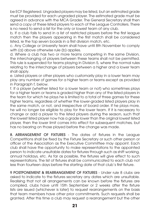be ECF Registered. Ungraded players may be listed, but an estimated grade must be provided for each ungraded player. The estimated grade must be agreed in advance with the MCA Grader. The General Secretary shall then send a copy of these listed players to each of the League Controllers. There is no need to send a list for the only or lowest team of any club.

b, If a club fails to send in a list of restricted players before the first league match then the players appearing in the first match shall be considered listed, ie the top seven boards in a first division match, etc.

c. Any College or University team shall have until 8th November to comply with (a) above otherwise rule (b) applies.

d. Where a club has two or more teams competing in the same Division, the interchanging of players between these teams shall not be permitted. This rule is suspended for teams playing in Division 5, where the normal rules relating to the interchange of players between a higher and a lower team shall apply.

e. Listed players or other players who customarily play in a lower team may play any number of games for a higher team or teams except as provided in Paragraph f, below.

f. If a player (whether listed for a lower team or not) who sometimes plays for a higher team or teams is graded higher than any of the listed players in the team for which he plays he is limited to a total of three games for these higher teams, regardless of whether the lower-graded listed players play in the same match, or not, and irrespective of board order. If he plays more, he will no longer be eligible to play for the lower team. If it is necessary to change or add a player to the listed players during the season, such that the lowest listed player now has a grade lower than the original lowest listed player, then the lower limit comes into effect for subsequent matches, but has no bearing on those played before the change was made.

8. ARRANGEMENT OF FIXTURES - The dates of fixtures in the League Competitions shall be fixed by the Fixture Secretary or such other person or officer of the Association as the Executive Committee may appoint. Each club shall have the opportunity to make representations to the appointed person to indicate unsuitable dates for fixtures through such as shift working, annual holidays, etc. As far as possible, the fixtures will give effect to such representations. The list of fixtures shall be communicated to each club not less than fourteen days before the starting date of that club's first fixture.

9 POSTPONEMENT & REARRANGEMENT OF FIXTURES - Under rule 8 clubs are asked to indicate to the fixtures secretary any dates which are unsuitable. Realising that not all arrangements can be known before the fixtures are compiled, clubs have until 15th September or 2 weeks after the fixture lists are issued (whichever is later) to request rearrangements on the basis that team members have other prior commitments. Such requests shall be granted. After this time a club may request a rearrangement but the other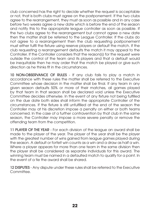club concerned has the right to decide whether the request is acceptable or not, that is both clubs must agree on the postponement. If the two clubs agree to the rearrangement, they must as soon as possible and in any case before two weeks agree a new date which is before the end of the season and notify this to the appropriate league controller as soon as possible. If the two clubs agree to the rearrangement but cannot agree a new date then the matter shall be referred to the League Controller. If the clubs do not agree to a rearrangement then the club requesting postponement must either fulfil the fixture using reserve players or default the match. If the club requesting a rearrangement defaults the match it may appeal to the Controller. If the Controller considers that the reason(s) for the request were outside the control of the team and its players and that a default would be inequitable then he may order that the match be played or give such direction as he thinks fit in the circumstances.

10 NON-OBSERVANCE OF RULES - If any club fails to play a match in accordance with these rules the matter shall be referred to the Executive Committee whose decision in the matter shall be final. If any team in any given season defaults 50% or more of their matches, all games played by that team in that season shall be declared void unless the Executive Committee decides otherwise. In the event of any fixture not being fulfilled on the due date both sides shall inform the appropriate Controller of the circumstances. If the fixture is still unfulfilled at the end of the season the Controller may at his discretion impose a penalty on either or both teams concerned. In the case of a further contravention by that club in the same season, the Controller may impose a more severe penalty or remove the offending team from the competition.

11 PLAYER OF THE YEAR - For each division of the league an award shall be made to the player of the year. The player of the year shall be the player with the greatest number of wins gained from league games played during the season. A default or forfeit win counts as a win and a draw as half a win. Where a player appears for more than one team in the same division then the player shall be considered as separate individuals for this award. The winning team must be named in a defaulted match to qualify for a point. In the event of a tie the award shall be shared.

12 DISPUTES - Any dispute under these rules shall be referred to the Executive **Committee**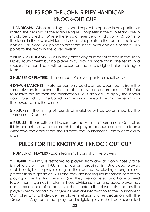### RULES FOR THE JOHN RIPLEY HANDICAP KNOCK-OUT CUP

1 HANDICAPS - When deciding the handicap to be applied in any particular match the divisions of the Main League Competition the two teams are in should be looked at. Where there is a difference of:- 1 division - 1.5 points to the team in the lower division 2 divisions - 2.5 points to the team in the lower division 3 divisions - 3.5 points to the team in the lower division 4 or more - 4.5 points to the team in the lower division.

2 NUMBER OF TEAMS - A club may enter any number of teams in the John Ripley Tournament but no player may play for more than one team in a season. The handicaps will be based on the club's highest-placed league team.

3 NUMBER OF PLAYERS - The number of players per team shall be six.

4 DRAWN MATCHES - Matches can only be drawn between teams from the same division. In this event the tie is first resolved on board count. If this fails to resolve the tie then the elimination rule is applied. To apply the board count rule, add up the board numbers won by each team. The team with the lowest total is the winner.

5 FIXTURES - The timing of rounds of matches will be determined by the Tournament Controller.

6 RESULTS - The results shall be sent promptly to the Tournament Controller. It is important that where a match is not played because one of the teams withdraws, the other team should notify the Tournament Controller to claim a win.

### RULES FOR THE KNOTTY ASH KNOCK OUT CUP

1 NUMBER OF PLAYERS - Each team shall consist of five players.

2 ELIGIBILITY - Entry is restricted to players from any division whose grade is not greater than 1700 in the current grading list. Ungraded players shall be eligible to play so long as their estimated playing strength is not greater than a grade of 1700 and they are not regular members of a team playing in the first two divisions. (i.e. they are not listed and have played fewer than 4 games in total in these divisions). If an ungraded player has earlier experience of competitive chess, before the player's first match, the player's team captain must give all relevant information to the Tournament Controller who will decide the player's eligibility after discussion with the Grader. Any team that plays an ineligible player shall be disqualified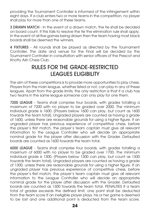providing the Tournament Controller is informed of the infringement within eight days. If a club enters two or more teams in the competition, no player shall play for more than one of these teams.

3 DRAWN MATCH - In the event of a drawn match, the tie shall be decided on board count. If this fails to resolve the tie the elimination rule shall apply. In the event of all five games being drawn then the team having most black boards shall be deemed the winners.

4 FIXTURES - All rounds shall be played as directed by the Tournament Controller. The date and venue for the Final will be decided by the Tournament Controller in consultation with senior officers of the Prescot and Knotty Ash Chess Club.

### RULES FOR THE GRADE-RESTRICTED LEAGUES ELIGIBILITY

The aim of these competitions is to provide more opportunities to play chess. Players from the main league, whether listed or not, can play in any of these leagues. Apart from the grade limits, the only restriction is that if a club has two teams in the same league someone can only play for one them.

7200 LEAGUE - Teams shall comprise four boards, with grades totalling a maximum of 7200 with no player to be graded over 2000. The minimum individual grade is 1600. (Players below 1600 can play, but count as 1600 towards the team total). Ungraded players are counted as having a grade of 1600, unless there are reasonable grounds for using a higher figure. If an ungraded player has previous experience of competitive chess, before the player's first match, the player's team captain must give all relevant information to the League Controller who will decide an appropriate nominal grade for the player after discussion with the Grader. Defaulted boards are counted as 1600 towards the team total.

6000 LEAGUE - Teams shall comprise four boards, with grades totalling a maximum of 6000 with no player to be graded over 1700. The minimum individual grade is 1300. (Players below 1300 can play, but count as 1300 towards the team total). Ungraded players are counted as having a grade of 1300, unless there are reasonable grounds for using a higher figure. If an ungraded player has previous experience of competitive chess, before the player's first match, the player's team captain must give all relevant information to the League Controller who will decide an appropriate nominal grade for the player after discussion with the Grader. Defaulted boards are counted as 1300 towards the team total. PENALTIES If a team total of grades exceeds the defined limit, one point shall be deducted from the team score If an ineligible player plays, his or her game is deemed to be lost and one additional point is deducted from the team score.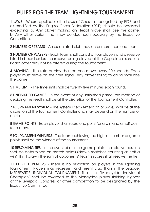### RULES FOR THE TEAM LIGHTNING TOURNAMENT

1 LAWS - Where applicable the Laws of Chess as recognised by FIDE and as modified by the English Chess Federation (ECF), should be observed excepting: a. Any player making an illegal move shall lose the game. b. Any other variant that may be deemed necessary by the Executive Committee.

2 NUMBER OF TEAMS - An associated club may enter more than one team.

3 NUMBER OF PLAYERS - Each team shall consist of four players and a reserve listed in board order; the reserve being played at the Captain's discretion. Board order may not be altered during the tournament.

4 MOVING - The rate of play shall be one move every 10 seconds. Each player must move on the time signal. Any player failing to do so shall lose the game.

5 TIME LIMIT - The time limit shall be twenty five minutes each round.

6 UNFINISHED GAMES - In the event of any unfinished game, the method of deciding the result shall be at the discretion of the Tournament Controller.

7 TOURNAMENT SYSTEM - The system used (American or Swiss) shall be at the discretion of the Tournament Controller and may depend on the number of entries.

8 GAME POINTS - Each player shall score one point for a win and a half point for a draw.

9 TOURNAMENT WINNERS - The team achieving the highest number of game points shall be the winners of the tournament.

10 RESOLVING TIES - In the event of a tie on game points, the relative position shall be determined on match points (drawn matches counting as half a win). If still drawn the sum of opponents' team's scores shall resolve the tie.

11 ELIGIBLE PLAYERS - There is no restriction on players in the lightning tournament. Players may represent a different club than in the League. MERSEYSIDE INDIVIDUAL TOURNAMENT The title "Merseyside Individual Champion" shall be awarded to the Merseyside player finishing highest at the Liverpool Congress or other competition to be designated by the Executive Committee.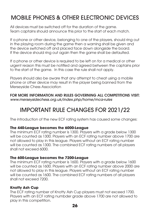### MOBILE PHONES & OTHER ELECTRONIC DEVICES

All devices must be switched off for the duration of the game. Team captains should announce this prior to the start of each match.

If a phone or other device, belonging to one of the players, should ring out in the playing room during the game then a warning shall be given and the device switched off and placed face down alongside the board. If the device should ring out again then the game shall be defaulted.

If a phone or other device is required to be left on for a medical or other urgent reason this must be notified and agreed between the captains prior to the start of the game. In this case the rule shall not apply.

Players should also be aware that any attempt to cheat using a mobile phone or other device may result in the player being banned from the Merseyside Chess Association

FOR MORE INFORMATION AND RULES GOVERNING ALL COMPETITIONS VISIT: *www.merseysidechess.org.uk/index.php/home/mca-rules*

### IMPORTANT RULE CHANGES FOR 2021/22

The introduction of the new ECF rating system has caused some changes:

#### **The 440-League becomes the 6000-League**

The minimum ECF rating number is 1300. Players with a grade below 1300 will be counted as 1300. Players with an ECF rating number above 1700 are not allowed to play in this league. Players without an ECF rating number will be counted as 1300. The combined ECF rating numbers of all players shall not exceed 6000.

#### **The 600-League becomes the 7200-League**

The minimum ECF rating number is 1600. Players with a grade below 1600 will be counted as 1600. Players with an ECF rating number above 2000 are not allowed to play in this league. Players without an ECF rating number will be counted as 1600. The combined ECF rating numbers of all players shall not exceed 7200.

#### **Knotty Ash Cup**

The ECF rating number of Knotty Ash Cup players must not exceed 1700. Players with an ECF rating numbder grade above 1700 are not allowed to play in this competition.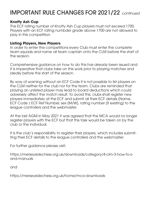### IMPORTANT RULE CHANGES FOR 2021/22 continued

#### **Knotty Ash Cup**

The ECF rating number of Knotty Ash Cup players must not exceed 1700. Players with an ECF rating numbder grade above 1700 are not allowed to play in this competition.

#### **Listing Players, New Players**

In order to enter the competitions every Club must enter the complete team squads and name ail team captain onto the CLM before the start of the season.

Comprehensive guidance on how to do this has already been issued and it is imperative that clubs take on this work prior to playing matches and ideally before the start of the season.

By way of warning without an ECF Code it is not possible to list players on the CLM neither for the club nor for the team. Clubs are reminded that playing an unlisted player may lead to board deductions which could adversely affect the match result. To avoid this, clubs shall register new players immediately at the ECF and submit all their ECF details (Name, ECF Code / ECF Ref Number, sex (M/W), rating number (if existing) to the league controllers and the webmaster.

At the last AGM in May 2021 it was agreed that the MCA would no longer register players with the ECF but that this task would be taken on by the club or the individual.

It is the club's responsibility to register their players, which includes submitting their ECF details to the league controllers and the webmaster.

For further guidance please visit;

https://merseysidechess.org.uk/downloads/category/4-clm-3-how-to-sand-manuals

and

https://merseysidechess.org.uk/home/mca-downloads